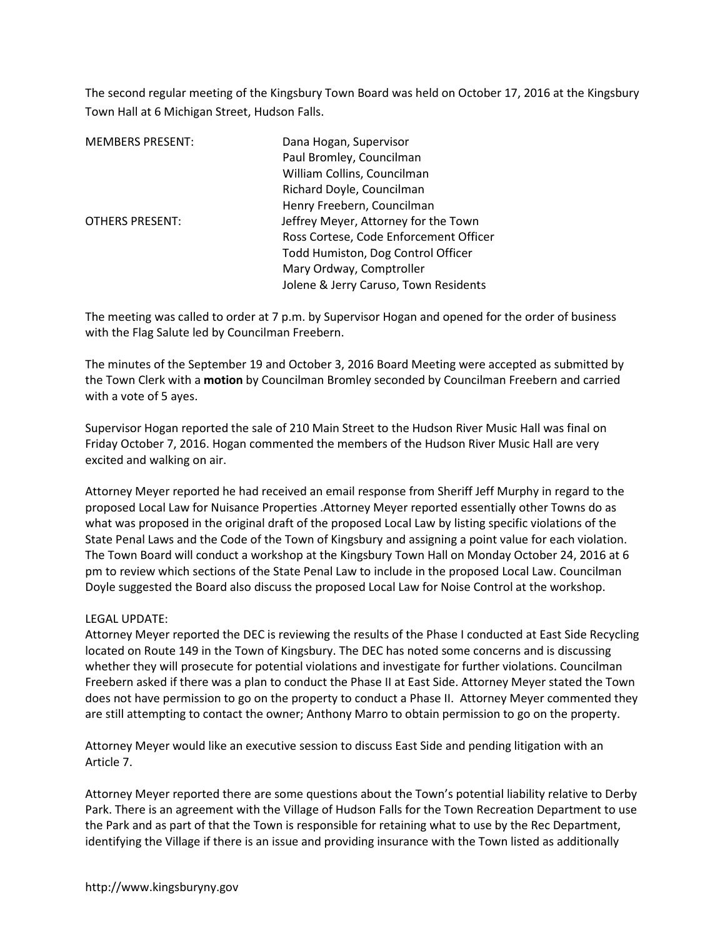The second regular meeting of the Kingsbury Town Board was held on October 17, 2016 at the Kingsbury Town Hall at 6 Michigan Street, Hudson Falls.

| <b>MEMBERS PRESENT:</b> | Dana Hogan, Supervisor                 |  |
|-------------------------|----------------------------------------|--|
|                         | Paul Bromley, Councilman               |  |
|                         | William Collins, Councilman            |  |
|                         | Richard Doyle, Councilman              |  |
|                         | Henry Freebern, Councilman             |  |
| <b>OTHERS PRESENT:</b>  | Jeffrey Meyer, Attorney for the Town   |  |
|                         | Ross Cortese, Code Enforcement Officer |  |
|                         | Todd Humiston, Dog Control Officer     |  |
|                         | Mary Ordway, Comptroller               |  |
|                         | Jolene & Jerry Caruso, Town Residents  |  |

The meeting was called to order at 7 p.m. by Supervisor Hogan and opened for the order of business with the Flag Salute led by Councilman Freebern.

The minutes of the September 19 and October 3, 2016 Board Meeting were accepted as submitted by the Town Clerk with a **motion** by Councilman Bromley seconded by Councilman Freebern and carried with a vote of 5 ayes.

Supervisor Hogan reported the sale of 210 Main Street to the Hudson River Music Hall was final on Friday October 7, 2016. Hogan commented the members of the Hudson River Music Hall are very excited and walking on air.

Attorney Meyer reported he had received an email response from Sheriff Jeff Murphy in regard to the proposed Local Law for Nuisance Properties .Attorney Meyer reported essentially other Towns do as what was proposed in the original draft of the proposed Local Law by listing specific violations of the State Penal Laws and the Code of the Town of Kingsbury and assigning a point value for each violation. The Town Board will conduct a workshop at the Kingsbury Town Hall on Monday October 24, 2016 at 6 pm to review which sections of the State Penal Law to include in the proposed Local Law. Councilman Doyle suggested the Board also discuss the proposed Local Law for Noise Control at the workshop.

## LEGAL UPDATE:

Attorney Meyer reported the DEC is reviewing the results of the Phase I conducted at East Side Recycling located on Route 149 in the Town of Kingsbury. The DEC has noted some concerns and is discussing whether they will prosecute for potential violations and investigate for further violations. Councilman Freebern asked if there was a plan to conduct the Phase II at East Side. Attorney Meyer stated the Town does not have permission to go on the property to conduct a Phase II. Attorney Meyer commented they are still attempting to contact the owner; Anthony Marro to obtain permission to go on the property.

Attorney Meyer would like an executive session to discuss East Side and pending litigation with an Article 7.

Attorney Meyer reported there are some questions about the Town's potential liability relative to Derby Park. There is an agreement with the Village of Hudson Falls for the Town Recreation Department to use the Park and as part of that the Town is responsible for retaining what to use by the Rec Department, identifying the Village if there is an issue and providing insurance with the Town listed as additionally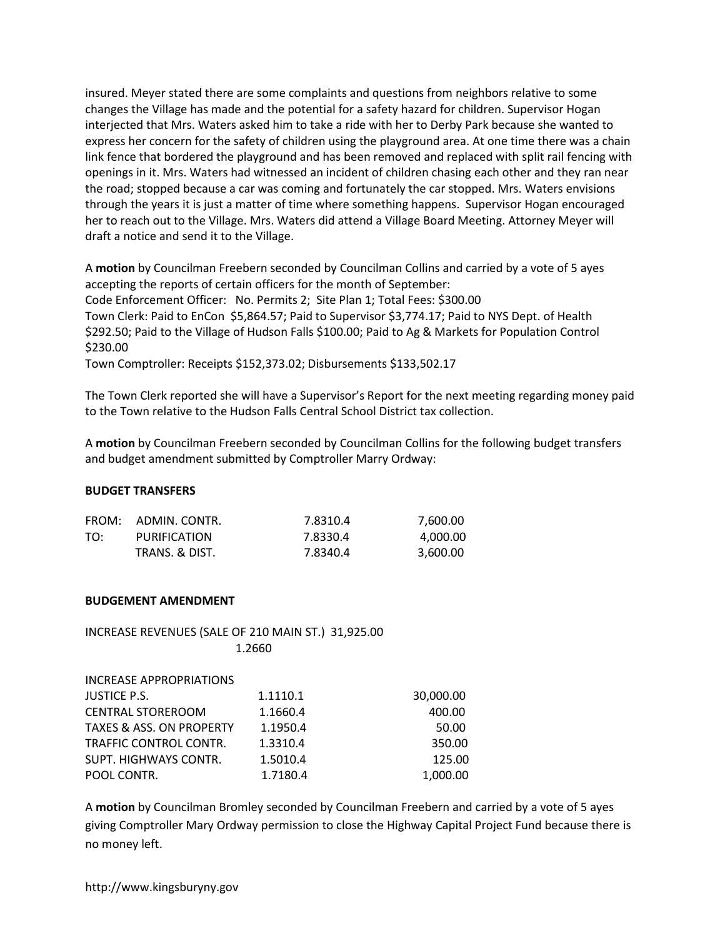insured. Meyer stated there are some complaints and questions from neighbors relative to some changes the Village has made and the potential for a safety hazard for children. Supervisor Hogan interjected that Mrs. Waters asked him to take a ride with her to Derby Park because she wanted to express her concern for the safety of children using the playground area. At one time there was a chain link fence that bordered the playground and has been removed and replaced with split rail fencing with openings in it. Mrs. Waters had witnessed an incident of children chasing each other and they ran near the road; stopped because a car was coming and fortunately the car stopped. Mrs. Waters envisions through the years it is just a matter of time where something happens. Supervisor Hogan encouraged her to reach out to the Village. Mrs. Waters did attend a Village Board Meeting. Attorney Meyer will draft a notice and send it to the Village.

A **motion** by Councilman Freebern seconded by Councilman Collins and carried by a vote of 5 ayes accepting the reports of certain officers for the month of September: Code Enforcement Officer: No. Permits 2; Site Plan 1; Total Fees: \$300.00 Town Clerk: Paid to EnCon \$5,864.57; Paid to Supervisor \$3,774.17; Paid to NYS Dept. of Health \$292.50; Paid to the Village of Hudson Falls \$100.00; Paid to Ag & Markets for Population Control \$230.00

Town Comptroller: Receipts \$152,373.02; Disbursements \$133,502.17

The Town Clerk reported she will have a Supervisor's Report for the next meeting regarding money paid to the Town relative to the Hudson Falls Central School District tax collection.

A **motion** by Councilman Freebern seconded by Councilman Collins for the following budget transfers and budget amendment submitted by Comptroller Marry Ordway:

## **BUDGET TRANSFERS**

| FROM: | ADMIN. CONTR.  | 7.8310.4 | 7.600.00 |
|-------|----------------|----------|----------|
| TO:   | PURIFICATION   | 7.8330.4 | 4.000.00 |
|       | TRANS. & DIST. | 7.8340.4 | 3,600.00 |

## **BUDGEMENT AMENDMENT**

## INCREASE REVENUES (SALE OF 210 MAIN ST.) 31,925.00 1.2660

| <b>INCREASE APPROPRIATIONS</b>      |          |           |
|-------------------------------------|----------|-----------|
| <b>JUSTICE P.S.</b>                 | 1.1110.1 | 30,000.00 |
| <b>CENTRAL STOREROOM</b>            | 1.1660.4 | 400.00    |
| <b>TAXES &amp; ASS. ON PROPERTY</b> | 1.1950.4 | 50.00     |
| TRAFFIC CONTROL CONTR.              | 1.3310.4 | 350.00    |
| SUPT. HIGHWAYS CONTR.               | 1.5010.4 | 125.00    |
| POOL CONTR.                         | 1.7180.4 | 1,000.00  |

A **motion** by Councilman Bromley seconded by Councilman Freebern and carried by a vote of 5 ayes giving Comptroller Mary Ordway permission to close the Highway Capital Project Fund because there is no money left.